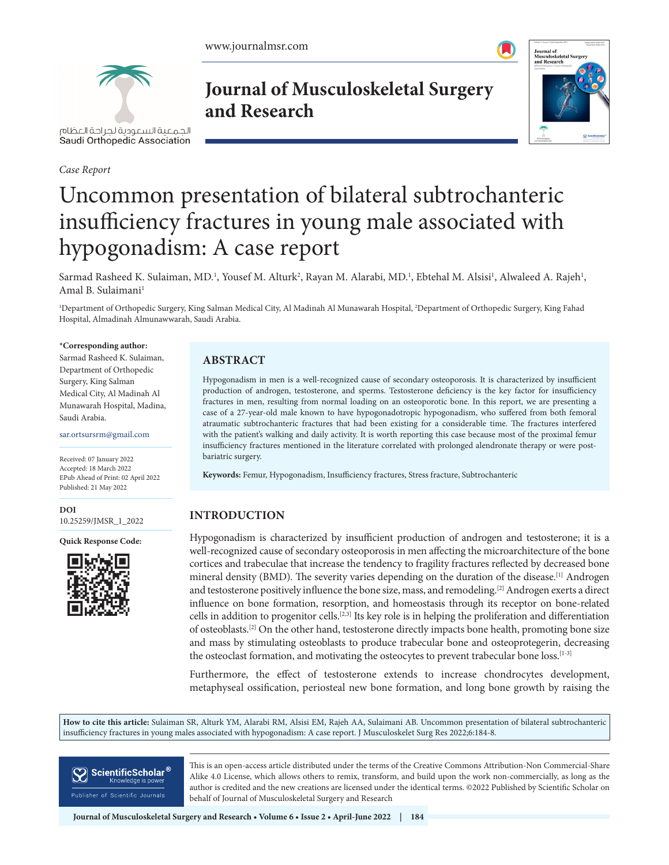

الحمعية السعودية لحراحة العظام Saudi Orthopedic Association

*Case Report*

**Journal of Musculoskeletal Surgery and Research**



# Uncommon presentation of bilateral subtrochanteric insufficiency fractures in young male associated with hypogonadism: A case report

Sarmad Rasheed K. Sulaiman, MD.<sup>1</sup>, Yousef M. Alturk<sup>2</sup>, Rayan M. Alarabi, MD.<sup>1</sup>, Ebtehal M. Alsisi<sup>1</sup>, Alwaleed A. Rajeh<sup>1</sup>, Amal B. Sulaimani<sup>1</sup>

1 Department of Orthopedic Surgery, King Salman Medical City, Al Madinah Al Munawarah Hospital, 2 Department of Orthopedic Surgery, King Fahad Hospital, Almadinah Almunawwarah, Saudi Arabia.

#### **\*Corresponding author:**

Sarmad Rasheed K. Sulaiman, Department of Orthopedic Surgery, King Salman Medical City, Al Madinah Al Munawarah Hospital, Madina, Saudi Arabia.

sar.ortsursrm@gmail.com

Received: 07 January 2022 Accepted: 18 March 2022 EPub Ahead of Print: 02 April 2022 Published: 21 May 2022

**DOI** [10.25259/JMSR\\_1\\_2022](https://dx.doi.org/10.25259/JMSR_1_2022)

**Quick Response Code:**



# **ABSTRACT**

Hypogonadism in men is a well-recognized cause of secondary osteoporosis. It is characterized by insufficient production of androgen, testosterone, and sperms. Testosterone deficiency is the key factor for insufficiency fractures in men, resulting from normal loading on an osteoporotic bone. In this report, we are presenting a case of a 27-year-old male known to have hypogonadotropic hypogonadism, who suffered from both femoral atraumatic subtrochanteric fractures that had been existing for a considerable time. The fractures interfered with the patient's walking and daily activity. It is worth reporting this case because most of the proximal femur insufficiency fractures mentioned in the literature correlated with prolonged alendronate therapy or were postbariatric surgery.

**Keywords:** Femur, Hypogonadism, Insufficiency fractures, Stress fracture, Subtrochanteric

# **INTRODUCTION**

Hypogonadism is characterized by insufficient production of androgen and testosterone; it is a well-recognized cause of secondary osteoporosis in men affecting the microarchitecture of the bone cortices and trabeculae that increase the tendency to fragility fractures reflected by decreased bone mineral density (BMD). The severity varies depending on the duration of the disease.<sup>[1]</sup> Androgen and testosterone positively influence the bone size, mass, and remodeling.[2] Androgen exerts a direct influence on bone formation, resorption, and homeostasis through its receptor on bone-related cells in addition to progenitor cells.[2,3] Its key role is in helping the proliferation and differentiation of osteoblasts.[2] On the other hand, testosterone directly impacts bone health, promoting bone size and mass by stimulating osteoblasts to produce trabecular bone and osteoprotegerin, decreasing the osteoclast formation, and motivating the osteocytes to prevent trabecular bone loss.<sup>[1-3]</sup>

Furthermore, the effect of testosterone extends to increase chondrocytes development, metaphyseal ossification, periosteal new bone formation, and long bone growth by raising the

**How to cite this article:** Sulaiman SR, Alturk YM, Alarabi RM, Alsisi EM, Rajeh AA, Sulaimani AB. Uncommon presentation of bilateral subtrochanteric insufficiency fractures in young males associated with hypogonadism: A case report. J Musculoskelet Surg Res 2022;6:184-8.



This is an open-access article distributed under the terms of the Creative Commons Attribution-Non Commercial-Share Alike 4.0 License, which allows others to remix, transform, and build upon the work non-commercially, as long as the author is credited and the new creations are licensed under the identical terms. ©2022 Published by Scientific Scholar on behalf of Journal of Musculoskeletal Surgery and Research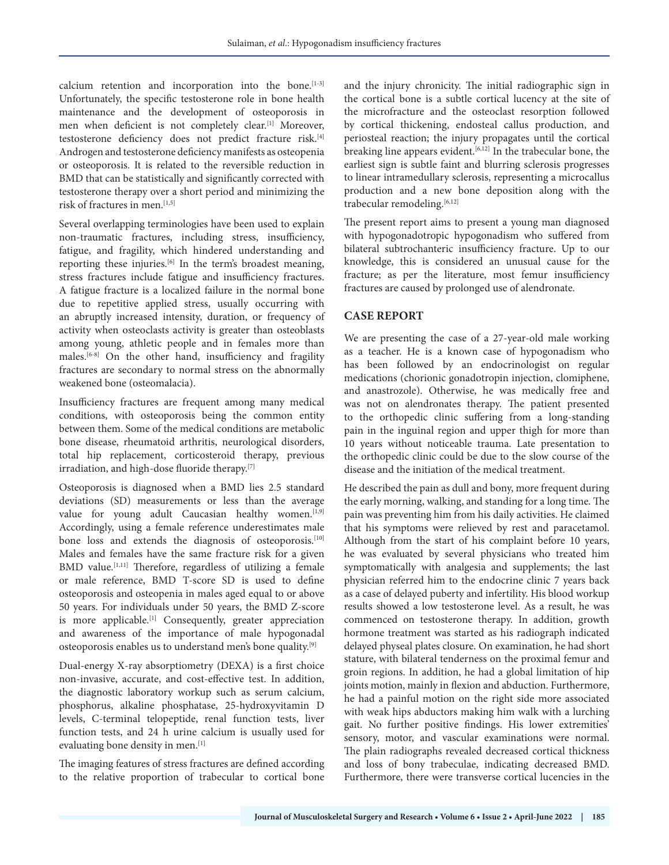calcium retention and incorporation into the bone.<sup>[1-3]</sup> Unfortunately, the specific testosterone role in bone health maintenance and the development of osteoporosis in men when deficient is not completely clear.[1] Moreover, testosterone deficiency does not predict fracture risk.[4] Androgen and testosterone deficiency manifests as osteopenia or osteoporosis. It is related to the reversible reduction in BMD that can be statistically and significantly corrected with testosterone therapy over a short period and minimizing the risk of fractures in men.[1,5]

Several overlapping terminologies have been used to explain non-traumatic fractures, including stress, insufficiency, fatigue, and fragility, which hindered understanding and reporting these injuries.[6] In the term's broadest meaning, stress fractures include fatigue and insufficiency fractures. A fatigue fracture is a localized failure in the normal bone due to repetitive applied stress, usually occurring with an abruptly increased intensity, duration, or frequency of activity when osteoclasts activity is greater than osteoblasts among young, athletic people and in females more than males.[6-8] On the other hand, insufficiency and fragility fractures are secondary to normal stress on the abnormally weakened bone (osteomalacia).

Insufficiency fractures are frequent among many medical conditions, with osteoporosis being the common entity between them. Some of the medical conditions are metabolic bone disease, rheumatoid arthritis, neurological disorders, total hip replacement, corticosteroid therapy, previous irradiation, and high-dose fluoride therapy.[7]

Osteoporosis is diagnosed when a BMD lies 2.5 standard deviations (SD) measurements or less than the average value for young adult Caucasian healthy women.<sup>[1,9]</sup> Accordingly, using a female reference underestimates male bone loss and extends the diagnosis of osteoporosis.[10] Males and females have the same fracture risk for a given BMD value.<sup>[1,11]</sup> Therefore, regardless of utilizing a female or male reference, BMD T-score SD is used to define osteoporosis and osteopenia in males aged equal to or above 50 years. For individuals under 50 years, the BMD Z-score is more applicable.<sup>[1]</sup> Consequently, greater appreciation and awareness of the importance of male hypogonadal osteoporosis enables us to understand men's bone quality.[9]

Dual-energy X-ray absorptiometry (DEXA) is a first choice non-invasive, accurate, and cost-effective test. In addition, the diagnostic laboratory workup such as serum calcium, phosphorus, alkaline phosphatase, 25-hydroxyvitamin D levels, C-terminal telopeptide, renal function tests, liver function tests, and 24 h urine calcium is usually used for evaluating bone density in men.<sup>[1]</sup>

The imaging features of stress fractures are defined according to the relative proportion of trabecular to cortical bone

and the injury chronicity. The initial radiographic sign in the cortical bone is a subtle cortical lucency at the site of the microfracture and the osteoclast resorption followed by cortical thickening, endosteal callus production, and periosteal reaction; the injury propagates until the cortical breaking line appears evident.<sup>[6,12]</sup> In the trabecular bone, the earliest sign is subtle faint and blurring sclerosis progresses to linear intramedullary sclerosis, representing a microcallus production and a new bone deposition along with the trabecular remodeling.<sup>[6,12]</sup>

The present report aims to present a young man diagnosed with hypogonadotropic hypogonadism who suffered from bilateral subtrochanteric insufficiency fracture. Up to our knowledge, this is considered an unusual cause for the fracture; as per the literature, most femur insufficiency fractures are caused by prolonged use of alendronate.

### **CASE REPORT**

We are presenting the case of a 27-year-old male working as a teacher. He is a known case of hypogonadism who has been followed by an endocrinologist on regular medications (chorionic gonadotropin injection, clomiphene, and anastrozole). Otherwise, he was medically free and was not on alendronates therapy. The patient presented to the orthopedic clinic suffering from a long-standing pain in the inguinal region and upper thigh for more than 10 years without noticeable trauma. Late presentation to the orthopedic clinic could be due to the slow course of the disease and the initiation of the medical treatment.

He described the pain as dull and bony, more frequent during the early morning, walking, and standing for a long time. The pain was preventing him from his daily activities. He claimed that his symptoms were relieved by rest and paracetamol. Although from the start of his complaint before 10 years, he was evaluated by several physicians who treated him symptomatically with analgesia and supplements; the last physician referred him to the endocrine clinic 7 years back as a case of delayed puberty and infertility. His blood workup results showed a low testosterone level. As a result, he was commenced on testosterone therapy. In addition, growth hormone treatment was started as his radiograph indicated delayed physeal plates closure. On examination, he had short stature, with bilateral tenderness on the proximal femur and groin regions. In addition, he had a global limitation of hip joints motion, mainly in flexion and abduction. Furthermore, he had a painful motion on the right side more associated with weak hips abductors making him walk with a lurching gait. No further positive findings. His lower extremities' sensory, motor, and vascular examinations were normal. The plain radiographs revealed decreased cortical thickness and loss of bony trabeculae, indicating decreased BMD. Furthermore, there were transverse cortical lucencies in the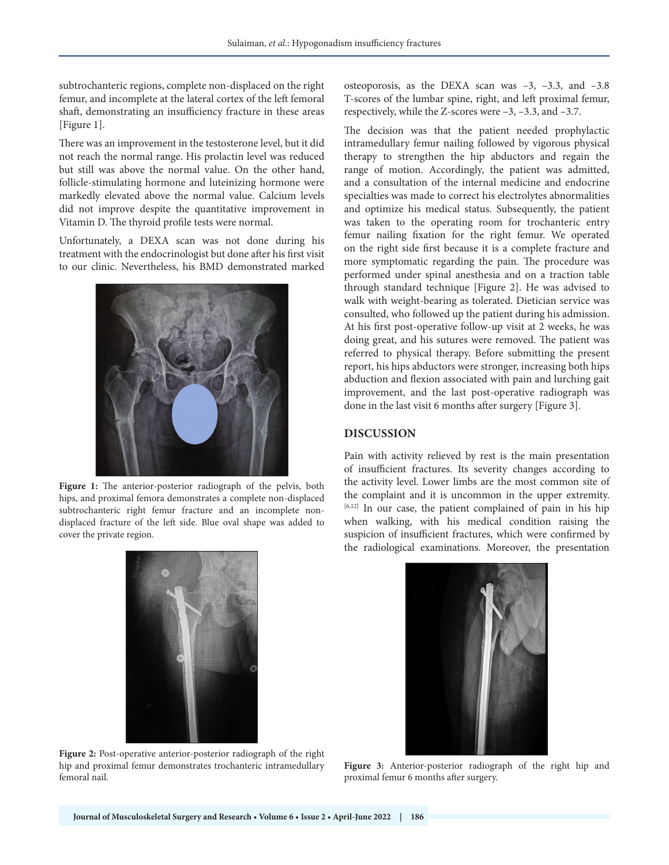subtrochanteric regions, complete non-displaced on the right femur, and incomplete at the lateral cortex of the left femoral shaft, demonstrating an insufficiency fracture in these areas [Figure 1].

There was an improvement in the testosterone level, but it did not reach the normal range. His prolactin level was reduced but still was above the normal value. On the other hand, follicle-stimulating hormone and luteinizing hormone were markedly elevated above the normal value. Calcium levels did not improve despite the quantitative improvement in Vitamin D. The thyroid profile tests were normal.

Unfortunately, a DEXA scan was not done during his treatment with the endocrinologist but done after his first visit to our clinic. Nevertheless, his BMD demonstrated marked



Figure 1: The anterior-posterior radiograph of the pelvis, both hips, and proximal femora demonstrates a complete non-displaced subtrochanteric right femur fracture and an incomplete nondisplaced fracture of the left side. Blue oval shape was added to cover the private region.

osteoporosis, as the DEXA scan was –3, –3.3, and –3.8 T-scores of the lumbar spine, right, and left proximal femur, respectively, while the Z-scores were –3, –3.3, and –3.7.

The decision was that the patient needed prophylactic intramedullary femur nailing followed by vigorous physical therapy to strengthen the hip abductors and regain the range of motion. Accordingly, the patient was admitted, and a consultation of the internal medicine and endocrine specialties was made to correct his electrolytes abnormalities and optimize his medical status. Subsequently, the patient was taken to the operating room for trochanteric entry femur nailing fixation for the right femur. We operated on the right side first because it is a complete fracture and more symptomatic regarding the pain. The procedure was performed under spinal anesthesia and on a traction table through standard technique [Figure 2]. He was advised to walk with weight-bearing as tolerated. Dietician service was consulted, who followed up the patient during his admission. At his first post-operative follow-up visit at 2 weeks, he was doing great, and his sutures were removed. The patient was referred to physical therapy. Before submitting the present report, his hips abductors were stronger, increasing both hips abduction and flexion associated with pain and lurching gait improvement, and the last post-operative radiograph was done in the last visit 6 months after surgery [Figure 3].

#### **DISCUSSION**

Pain with activity relieved by rest is the main presentation of insufficient fractures. Its severity changes according to the activity level. Lower limbs are the most common site of the complaint and it is uncommon in the upper extremity. [6,12] In our case, the patient complained of pain in his hip when walking, with his medical condition raising the suspicion of insufficient fractures, which were confirmed by the radiological examinations. Moreover, the presentation



**Figure 2:** Post-operative anterior-posterior radiograph of the right hip and proximal femur demonstrates trochanteric intramedullary femoral nail.



**Figure 3:** Anterior-posterior radiograph of the right hip and proximal femur 6 months after surgery.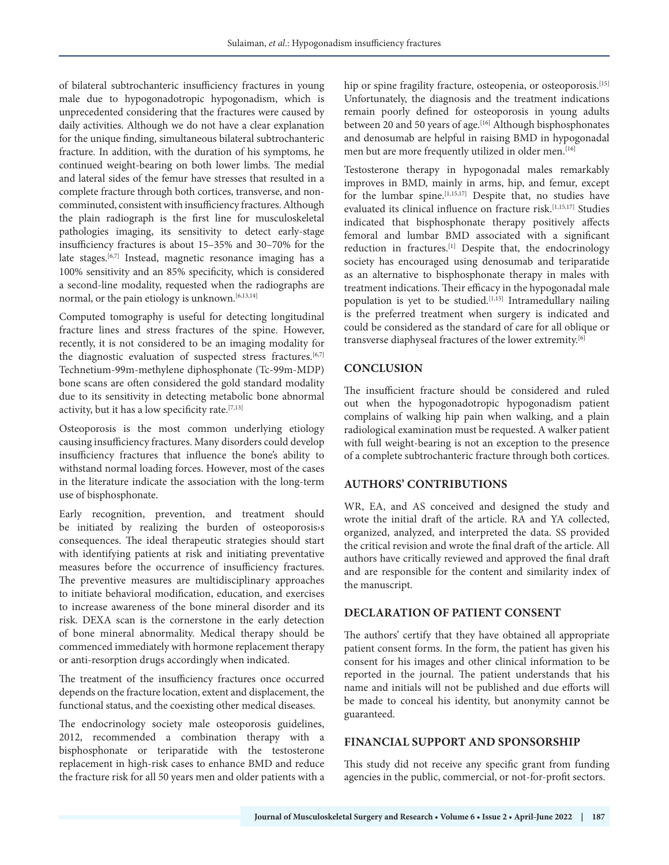of bilateral subtrochanteric insufficiency fractures in young male due to hypogonadotropic hypogonadism, which is unprecedented considering that the fractures were caused by daily activities. Although we do not have a clear explanation for the unique finding, simultaneous bilateral subtrochanteric fracture. In addition, with the duration of his symptoms, he continued weight-bearing on both lower limbs. The medial and lateral sides of the femur have stresses that resulted in a complete fracture through both cortices, transverse, and noncomminuted, consistent with insufficiency fractures. Although the plain radiograph is the first line for musculoskeletal pathologies imaging, its sensitivity to detect early-stage insufficiency fractures is about 15–35% and 30–70% for the late stages.[6,7] Instead, magnetic resonance imaging has a 100% sensitivity and an 85% specificity, which is considered a second-line modality, requested when the radiographs are normal, or the pain etiology is unknown.<sup>[6,13,14]</sup>

Computed tomography is useful for detecting longitudinal fracture lines and stress fractures of the spine. However, recently, it is not considered to be an imaging modality for the diagnostic evaluation of suspected stress fractures.<sup>[6,7]</sup> Technetium-99m-methylene diphosphonate (Tc-99m-MDP) bone scans are often considered the gold standard modality due to its sensitivity in detecting metabolic bone abnormal activity, but it has a low specificity rate.[7,13]

Osteoporosis is the most common underlying etiology causing insufficiency fractures. Many disorders could develop insufficiency fractures that influence the bone's ability to withstand normal loading forces. However, most of the cases in the literature indicate the association with the long-term use of bisphosphonate.

Early recognition, prevention, and treatment should be initiated by realizing the burden of osteoporosis›s consequences. The ideal therapeutic strategies should start with identifying patients at risk and initiating preventative measures before the occurrence of insufficiency fractures. The preventive measures are multidisciplinary approaches to initiate behavioral modification, education, and exercises to increase awareness of the bone mineral disorder and its risk. DEXA scan is the cornerstone in the early detection of bone mineral abnormality. Medical therapy should be commenced immediately with hormone replacement therapy or anti-resorption drugs accordingly when indicated.

The treatment of the insufficiency fractures once occurred depends on the fracture location, extent and displacement, the functional status, and the coexisting other medical diseases.

The endocrinology society male osteoporosis guidelines, 2012, recommended a combination therapy with a bisphosphonate or teriparatide with the testosterone replacement in high-risk cases to enhance BMD and reduce the fracture risk for all 50 years men and older patients with a

hip or spine fragility fracture, osteopenia, or osteoporosis.<sup>[15]</sup> Unfortunately, the diagnosis and the treatment indications remain poorly defined for osteoporosis in young adults between 20 and 50 years of age.<sup>[16]</sup> Although bisphosphonates and denosumab are helpful in raising BMD in hypogonadal men but are more frequently utilized in older men.<sup>[16]</sup>

Testosterone therapy in hypogonadal males remarkably improves in BMD, mainly in arms, hip, and femur, except for the lumbar spine.<sup>[1,15,17]</sup> Despite that, no studies have evaluated its clinical influence on fracture risk.<sup>[1,15,17]</sup> Studies indicated that bisphosphonate therapy positively affects femoral and lumbar BMD associated with a significant reduction in fractures.<sup>[1]</sup> Despite that, the endocrinology society has encouraged using denosumab and teriparatide as an alternative to bisphosphonate therapy in males with treatment indications. Their efficacy in the hypogonadal male population is yet to be studied.<sup>[1,15]</sup> Intramedullary nailing is the preferred treatment when surgery is indicated and could be considered as the standard of care for all oblique or transverse diaphyseal fractures of the lower extremity.[6]

#### **CONCLUSION**

The insufficient fracture should be considered and ruled out when the hypogonadotropic hypogonadism patient complains of walking hip pain when walking, and a plain radiological examination must be requested. A walker patient with full weight-bearing is not an exception to the presence of a complete subtrochanteric fracture through both cortices.

#### **AUTHORS' CONTRIBUTIONS**

WR, EA, and AS conceived and designed the study and wrote the initial draft of the article. RA and YA collected, organized, analyzed, and interpreted the data. SS provided the critical revision and wrote the final draft of the article. All authors have critically reviewed and approved the final draft and are responsible for the content and similarity index of the manuscript.

# **DECLARATION OF PATIENT CONSENT**

The authors' certify that they have obtained all appropriate patient consent forms. In the form, the patient has given his consent for his images and other clinical information to be reported in the journal. The patient understands that his name and initials will not be published and due efforts will be made to conceal his identity, but anonymity cannot be guaranteed.

#### **FINANCIAL SUPPORT AND SPONSORSHIP**

This study did not receive any specific grant from funding agencies in the public, commercial, or not-for-profit sectors.